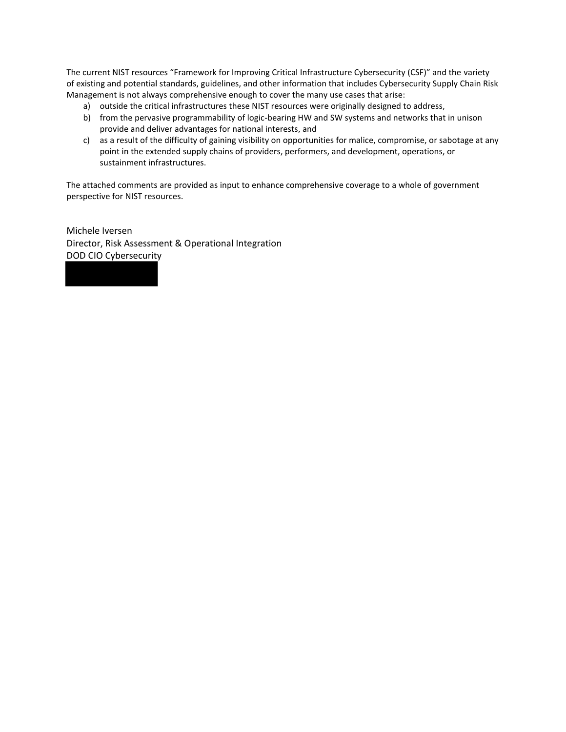The current NIST resources "Framework for Improving Critical Infrastructure Cybersecurity (CSF)" and the variety of existing and potential standards, guidelines, and other information that includes Cybersecurity Supply Chain Risk Management is not always comprehensive enough to cover the many use cases that arise:

- a) outside the critical infrastructures these NIST resources were originally designed to address,
- b) from the pervasive programmability of logic-bearing HW and SW systems and networks that in unison provide and deliver advantages for national interests, and
- c) as a result of the difficulty of gaining visibility on opportunities for malice, compromise, or sabotage at any point in the extended supply chains of providers, performers, and development, operations, or sustainment infrastructures.

The attached comments are provided as input to enhance comprehensive coverage to a whole of government perspective for NIST resources.

Michele Iversen Director, Risk Assessment & Operational Integration DOD CIO Cybersecurity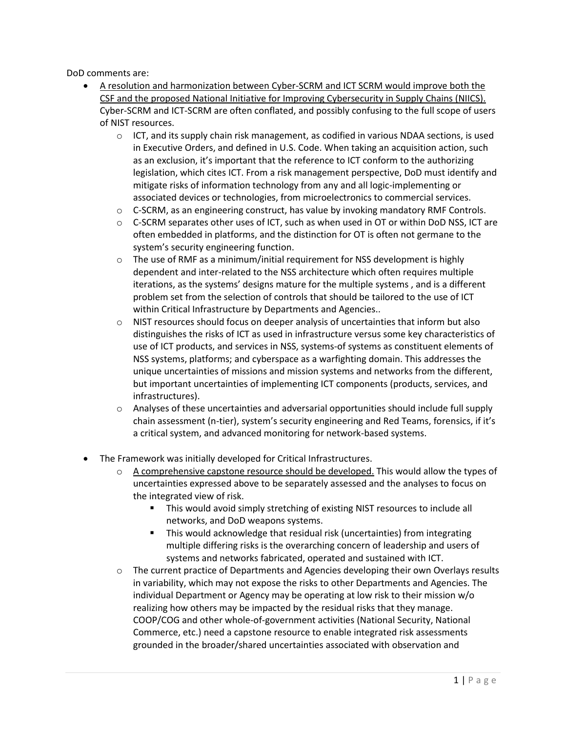DoD comments are:

- A resolution and harmonization between Cyber-SCRM and ICT SCRM would improve both the CSF and the proposed National Initiative for Improving Cybersecurity in Supply Chains (NIICS). Cyber-SCRM and ICT-SCRM are often conflated, and possibly confusing to the full scope of users of NIST resources.
	- $\circ$  ICT, and its supply chain risk management, as codified in various NDAA sections, is used in Executive Orders, and defined in U.S. Code. When taking an acquisition action, such as an exclusion, it's important that the reference to ICT conform to the authorizing legislation, which cites ICT. From a risk management perspective, DoD must identify and mitigate risks of information technology from any and all logic-implementing or associated devices or technologies, from microelectronics to commercial services.
	- $\circ$  C-SCRM, as an engineering construct, has value by invoking mandatory RMF Controls.
	- o C-SCRM separates other uses of ICT, such as when used in OT or within DoD NSS, ICT are often embedded in platforms, and the distinction for OT is often not germane to the system's security engineering function.
	- $\circ$  The use of RMF as a minimum/initial requirement for NSS development is highly dependent and inter-related to the NSS architecture which often requires multiple iterations, as the systems' designs mature for the multiple systems , and is a different problem set from the selection of controls that should be tailored to the use of ICT within Critical Infrastructure by Departments and Agencies..
	- $\circ$  NIST resources should focus on deeper analysis of uncertainties that inform but also distinguishes the risks of ICT as used in infrastructure versus some key characteristics of use of ICT products, and services in NSS, systems-of systems as constituent elements of NSS systems, platforms; and cyberspace as a warfighting domain. This addresses the unique uncertainties of missions and mission systems and networks from the different, but important uncertainties of implementing ICT components (products, services, and infrastructures).
	- $\circ$  Analyses of these uncertainties and adversarial opportunities should include full supply chain assessment (n-tier), system's security engineering and Red Teams, forensics, if it's a critical system, and advanced monitoring for network-based systems.
- The Framework was initially developed for Critical Infrastructures.
	- $\circ$  A comprehensive capstone resource should be developed. This would allow the types of uncertainties expressed above to be separately assessed and the analyses to focus on the integrated view of risk.
		- This would avoid simply stretching of existing NIST resources to include all networks, and DoD weapons systems.
		- This would acknowledge that residual risk (uncertainties) from integrating multiple differing risks is the overarching concern of leadership and users of systems and networks fabricated, operated and sustained with ICT.
	- individual Department or Agency may be operating at low risk to their mission w/o  $\circ$  The current practice of Departments and Agencies developing their own Overlays results in variability, which may not expose the risks to other Departments and Agencies. The realizing how others may be impacted by the residual risks that they manage. COOP/COG and other whole-of-government activities (National Security, National Commerce, etc.) need a capstone resource to enable integrated risk assessments grounded in the broader/shared uncertainties associated with observation and